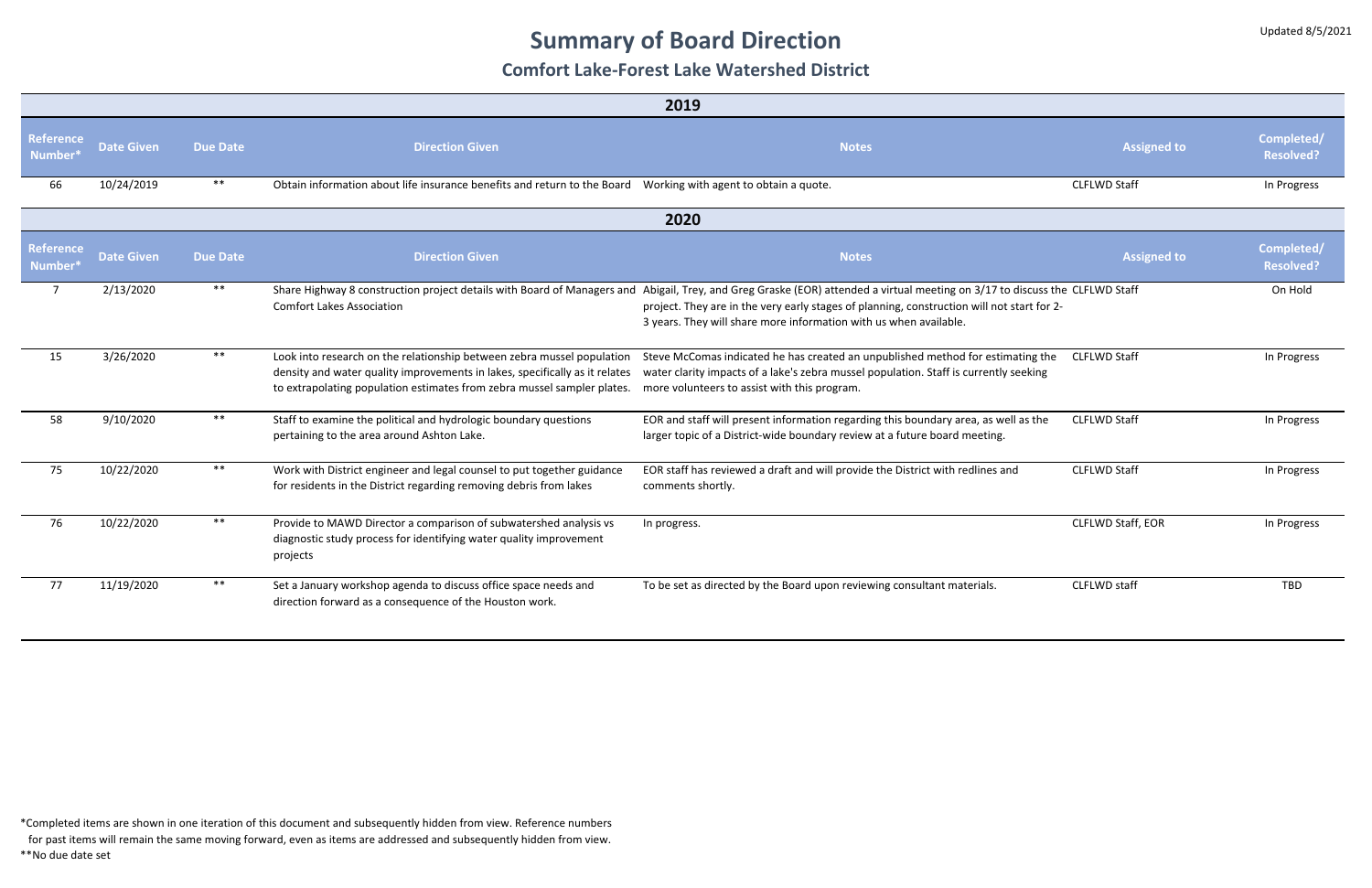# **Summary of Board Direction**

### **Comfort Lake-Forest Lake Watershed District**

| 2019                                    |                   |                 |                                                                                                                                                                                                                                  |                                                                                                                                                                                                                                                                                                                                                |                     |                                |
|-----------------------------------------|-------------------|-----------------|----------------------------------------------------------------------------------------------------------------------------------------------------------------------------------------------------------------------------------|------------------------------------------------------------------------------------------------------------------------------------------------------------------------------------------------------------------------------------------------------------------------------------------------------------------------------------------------|---------------------|--------------------------------|
| <b>Reference</b><br>Number <sup>®</sup> | <b>Date Given</b> | <b>Due Date</b> | <b>Direction Given</b>                                                                                                                                                                                                           | <b>Notes</b>                                                                                                                                                                                                                                                                                                                                   | <b>Assigned to</b>  | Completed/<br><b>Resolved?</b> |
| 66                                      | 10/24/2019        | $***$           | Obtain information about life insurance benefits and return to the Board                                                                                                                                                         | Working with agent to obtain a quote.                                                                                                                                                                                                                                                                                                          | <b>CLFLWD Staff</b> | In Progress                    |
| 2020                                    |                   |                 |                                                                                                                                                                                                                                  |                                                                                                                                                                                                                                                                                                                                                |                     |                                |
| <b>Reference</b><br>Number <sup>®</sup> | <b>Date Given</b> | <b>Due Date</b> | <b>Direction Given</b>                                                                                                                                                                                                           | <b>Notes</b>                                                                                                                                                                                                                                                                                                                                   | <b>Assigned to</b>  | Completed/<br><b>Resolved?</b> |
| $\overline{7}$                          | 2/13/2020         | $***$           | <b>Comfort Lakes Association</b>                                                                                                                                                                                                 | Share Highway 8 construction project details with Board of Managers and Abigail, Trey, and Greg Graske (EOR) attended a virtual meeting on 3/17 to discuss the CLFLWD Staff<br>project. They are in the very early stages of planning, construction will not start for 2-<br>3 years. They will share more information with us when available. |                     | On Hold                        |
| 15                                      | 3/26/2020         | $***$           | Look into research on the relationship between zebra mussel population<br>density and water quality improvements in lakes, specifically as it relates<br>to extrapolating population estimates from zebra mussel sampler plates. | Steve McComas indicated he has created an unpublished method for estimating the<br>water clarity impacts of a lake's zebra mussel population. Staff is currently seeking<br>more volunteers to assist with this program.                                                                                                                       | <b>CLFLWD Staff</b> | In Progress                    |
| 58                                      | 9/10/2020         | $***$           | Staff to examine the political and hydrologic boundary questions<br>pertaining to the area around Ashton Lake.                                                                                                                   | EOR and staff will present information regarding this boundary area, as well as the<br>larger topic of a District-wide boundary review at a future board meeting.                                                                                                                                                                              | <b>CLFLWD Staff</b> | In Progress                    |
| 75                                      | 10/22/2020        | $***$           | Work with District engineer and legal counsel to put together guidance<br>for residents in the District regarding removing debris from lakes                                                                                     | EOR staff has reviewed a draft and will provide the District with redlines and<br>comments shortly.                                                                                                                                                                                                                                            | <b>CLFLWD Staff</b> | In Progress                    |
| 76                                      | 10/22/2020        | $***$           | Provide to MAWD Director a comparison of subwatershed analysis vs<br>diagnostic study process for identifying water quality improvement<br>projects                                                                              | In progress.                                                                                                                                                                                                                                                                                                                                   | CLFLWD Staff, EOR   | In Progress                    |
| 77                                      | 11/19/2020        | $***$           | Set a January workshop agenda to discuss office space needs and<br>direction forward as a consequence of the Houston work.                                                                                                       | To be set as directed by the Board upon reviewing consultant materials.                                                                                                                                                                                                                                                                        | CLFLWD staff        | <b>TBD</b>                     |

\*Completed items are shown in one iteration of this document and subsequently hidden from view. Reference numbers

for past items will remain the same moving forward, even as items are addressed and subsequently hidden from view.

\*\*No due date set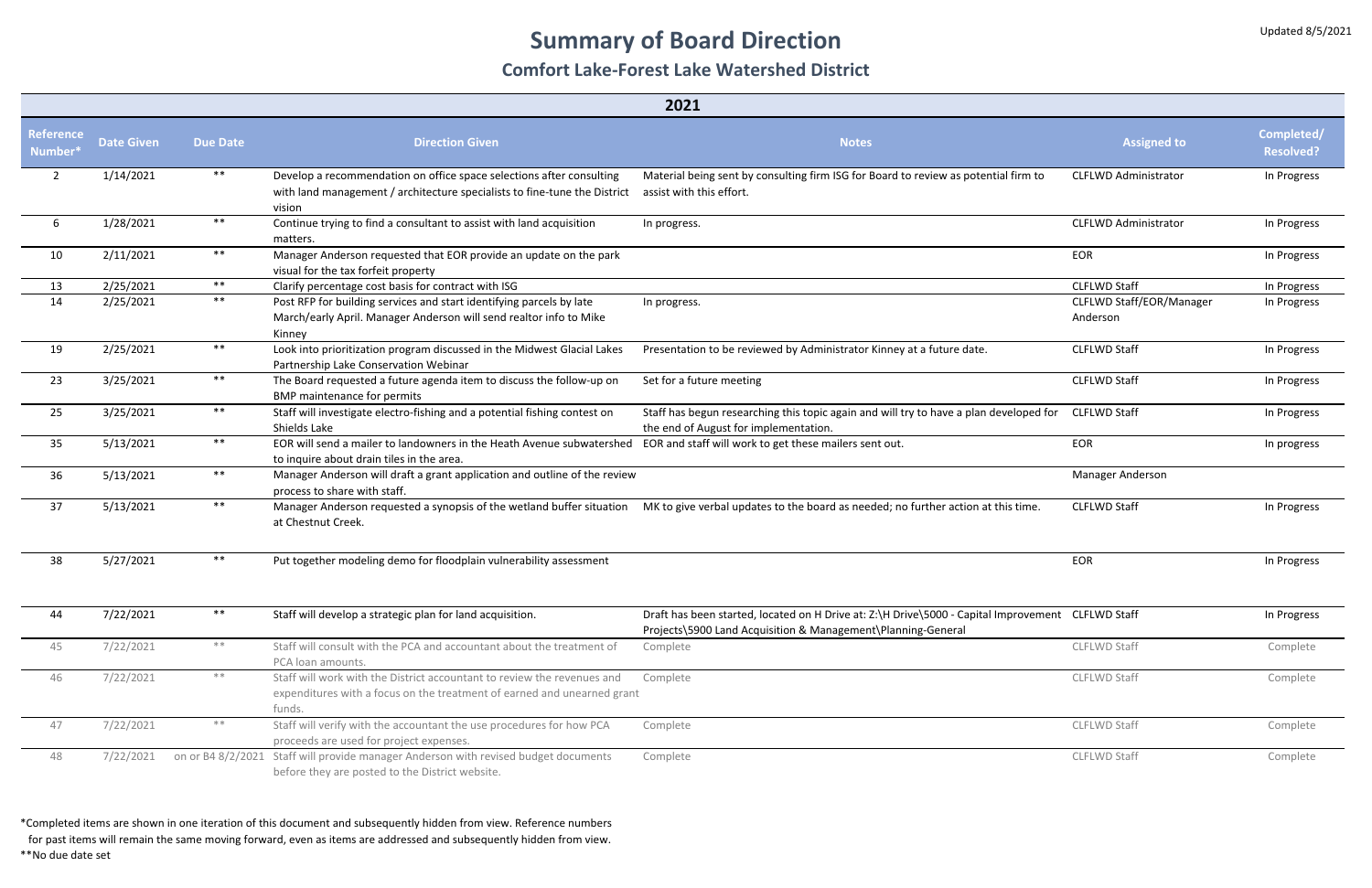### **Summary of Board Direction**

### **Comfort Lake-Forest Lake Watershed District**

| 2021                        |                   |                 |                                                                                                                                                              |                                                                                                                                                                   |                                      |                                |
|-----------------------------|-------------------|-----------------|--------------------------------------------------------------------------------------------------------------------------------------------------------------|-------------------------------------------------------------------------------------------------------------------------------------------------------------------|--------------------------------------|--------------------------------|
| Reference<br>Number $^\ast$ | <b>Date Given</b> | <b>Due Date</b> | <b>Direction Given</b>                                                                                                                                       | <b>Notes</b>                                                                                                                                                      | <b>Assigned to</b>                   | Completed/<br><b>Resolved?</b> |
| $\overline{2}$              | 1/14/2021         | $***$           | Develop a recommendation on office space selections after consulting<br>with land management / architecture specialists to fine-tune the District<br>vision  | Material being sent by consulting firm ISG for Board to review as potential firm to<br>assist with this effort.                                                   | <b>CLFLWD Administrator</b>          | In Progress                    |
| 6                           | 1/28/2021         | $***$           | Continue trying to find a consultant to assist with land acquisition<br>matters.                                                                             | In progress.                                                                                                                                                      | <b>CLFLWD Administrator</b>          | In Progress                    |
| 10                          | 2/11/2021         | $***$           | Manager Anderson requested that EOR provide an update on the park<br>visual for the tax forfeit property                                                     |                                                                                                                                                                   | EOR                                  | In Progress                    |
| 13                          | 2/25/2021         | $***$           | Clarify percentage cost basis for contract with ISG                                                                                                          |                                                                                                                                                                   | <b>CLFLWD Staff</b>                  | In Progress                    |
| 14                          | 2/25/2021         | $***$           | Post RFP for building services and start identifying parcels by late<br>March/early April. Manager Anderson will send realtor info to Mike<br>Kinney         | In progress.                                                                                                                                                      | CLFLWD Staff/EOR/Manager<br>Anderson | In Progress                    |
| 19                          | 2/25/2021         | $***$           | Look into prioritization program discussed in the Midwest Glacial Lakes<br>Partnership Lake Conservation Webinar                                             | Presentation to be reviewed by Administrator Kinney at a future date.                                                                                             | <b>CLFLWD Staff</b>                  | In Progress                    |
| 23                          | 3/25/2021         | $***$           | The Board requested a future agenda item to discuss the follow-up on<br><b>BMP</b> maintenance for permits                                                   | Set for a future meeting                                                                                                                                          | <b>CLFLWD Staff</b>                  | In Progress                    |
| 25                          | 3/25/2021         | $***$           | Staff will investigate electro-fishing and a potential fishing contest on<br>Shields Lake                                                                    | Staff has begun researching this topic again and will try to have a plan developed for<br>the end of August for implementation.                                   | <b>CLFLWD Staff</b>                  | In Progress                    |
| 35                          | 5/13/2021         | $***$           | EOR will send a mailer to landowners in the Heath Avenue subwatershed<br>to inquire about drain tiles in the area.                                           | EOR and staff will work to get these mailers sent out.                                                                                                            | EOR                                  | In progress                    |
| 36                          | 5/13/2021         | $***$           | Manager Anderson will draft a grant application and outline of the review<br>process to share with staff.                                                    |                                                                                                                                                                   | Manager Anderson                     |                                |
| 37                          | 5/13/2021         | $***$           | at Chestnut Creek.                                                                                                                                           | Manager Anderson requested a synopsis of the wetland buffer situation MK to give verbal updates to the board as needed; no further action at this time.           | <b>CLFLWD Staff</b>                  | In Progress                    |
| 38                          | 5/27/2021         | $***$           | Put together modeling demo for floodplain vulnerability assessment                                                                                           |                                                                                                                                                                   | <b>EOR</b>                           | In Progress                    |
| 44                          | 7/22/2021         | $***$           | Staff will develop a strategic plan for land acquisition.                                                                                                    | Draft has been started, located on H Drive at: Z:\H Drive\5000 - Capital Improvement CLFLWD Staff<br>Projects\5900 Land Acquisition & Management\Planning-General |                                      | In Progress                    |
| 45                          | 7/22/2021         | $**$            | Staff will consult with the PCA and accountant about the treatment of<br>PCA loan amounts.                                                                   | Complete                                                                                                                                                          | CLFLWD Staff                         | Complete                       |
| 46                          | 7/22/2021         | $\ast\ast$      | Staff will work with the District accountant to review the revenues and<br>expenditures with a focus on the treatment of earned and unearned grant<br>funds. | Complete                                                                                                                                                          | <b>CLFLWD Staff</b>                  | Complete                       |
| 47                          | 7/22/2021         | $\ast\ast$      | Staff will verify with the accountant the use procedures for how PCA<br>proceeds are used for project expenses.                                              | Complete                                                                                                                                                          | CLFLWD Staff                         | Complete                       |
| 48                          | 7/22/2021         |                 | on or B4 8/2/2021 Staff will provide manager Anderson with revised budget documents<br>before they are posted to the District website.                       | Complete                                                                                                                                                          | <b>CLFLWD Staff</b>                  | Complete                       |

\*Completed items are shown in one iteration of this document and subsequently hidden from view. Reference numbers

for past items will remain the same moving forward, even as items are addressed and subsequently hidden from view.

\*\*No due date set